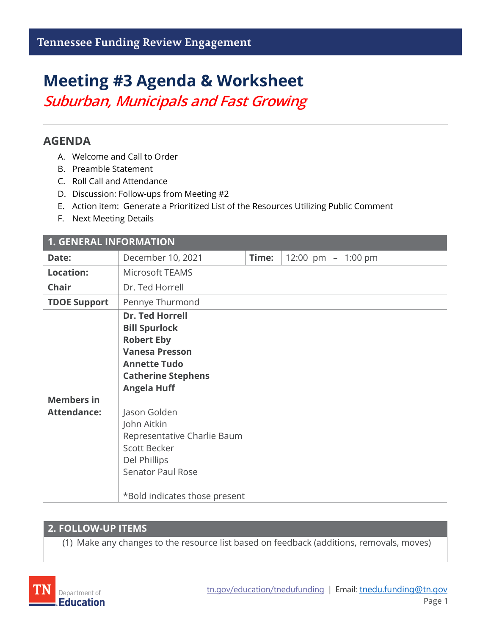# **Meeting #3 Agenda & Worksheet**

*Suburban, Municipals and Fast Growing*

## **AGENDA**

- A. Welcome and Call to Order
- B. Preamble Statement
- C. Roll Call and Attendance
- D. Discussion: Follow-ups from Meeting #2
- E. Action item: Generate a Prioritized List of the Resources Utilizing Public Comment
- F. Next Meeting Details

| <b>1. GENERAL INFORMATION</b>           |                                                                                                                                                                                                                                                                             |       |                    |  |  |
|-----------------------------------------|-----------------------------------------------------------------------------------------------------------------------------------------------------------------------------------------------------------------------------------------------------------------------------|-------|--------------------|--|--|
| Date:                                   | December 10, 2021                                                                                                                                                                                                                                                           | Time: | 12:00 pm - 1:00 pm |  |  |
| <b>Location:</b>                        | Microsoft TEAMS                                                                                                                                                                                                                                                             |       |                    |  |  |
| <b>Chair</b>                            | Dr. Ted Horrell                                                                                                                                                                                                                                                             |       |                    |  |  |
| <b>TDOE Support</b>                     | Pennye Thurmond                                                                                                                                                                                                                                                             |       |                    |  |  |
| <b>Members in</b><br><b>Attendance:</b> | <b>Dr. Ted Horrell</b><br><b>Bill Spurlock</b><br><b>Robert Eby</b><br><b>Vanesa Presson</b><br><b>Annette Tudo</b><br><b>Catherine Stephens</b><br><b>Angela Huff</b><br>Jason Golden<br>John Aitkin<br>Representative Charlie Baum<br><b>Scott Becker</b><br>Del Phillips |       |                    |  |  |
|                                         | <b>Senator Paul Rose</b>                                                                                                                                                                                                                                                    |       |                    |  |  |
|                                         | *Bold indicates those present                                                                                                                                                                                                                                               |       |                    |  |  |

### **2. FOLLOW-UP ITEMS**

(1) Make any changes to the resource list based on feedback (additions, removals, moves)